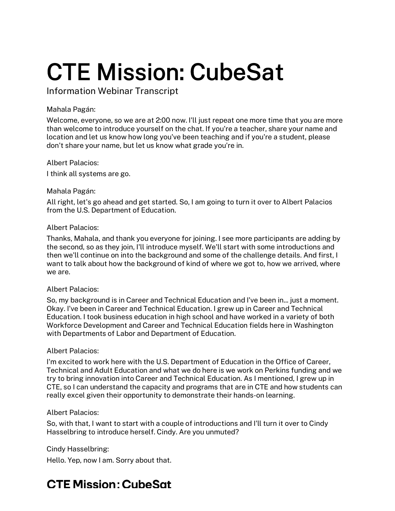Information Webinar Transcript

# Mahala Pagán:

 Welcome, everyone, so we are at 2:00 now. I'll just repeat one more time that you are more than welcome to introduce yourself on the chat. If you're a teacher, share your name and location and let us know how long you've been teaching and if you're a student, please don't share your name, but let us know what grade you're in.

Albert Palacios:

I think all systems are go.

# Mahala Pagán:

 All right, let's go ahead and get started. So, I am going to turn it over to Albert Palacios from the U.S. Department of Education.

# Albert Palacios:

 Thanks, Mahala, and thank you everyone for joining. I see more participants are adding by the second, so as they join, I'll introduce myself. We'll start with some introductions and then we'll continue on into the background and some of the challenge details. And first, I want to talk about how the background of kind of where we got to, how we arrived, where we are.

# Albert Palacios:

 So, my background is in Career and Technical Education and I've been in... just a moment. Okay. I've been in Career and Technical Education. I grew up in Career and Technical Education. I took business education in high school and have worked in a variety of both Workforce Development and Career and Technical Education fields here in Washington with Departments of Labor and Department of Education.

# Albert Palacios:

 I'm excited to work here with the U.S. Department of Education in the Office of Career, Technical and Adult Education and what we do here is we work on Perkins funding and we try to bring innovation into Career and Technical Education. As I mentioned, I grew up in CTE, so I can understand the capacity and programs that are in CTE and how students can really excel given their opportunity to demonstrate their hands-on learning.

# Albert Palacios:

 So, with that, I want to start with a couple of introductions and I'll turn it over to Cindy Hasselbring to introduce herself. Cindy. Are you unmuted?

# Cindy Hasselbring:

Hello. Yep, now I am. Sorry about that.

# **CTE Mission: CubeSat**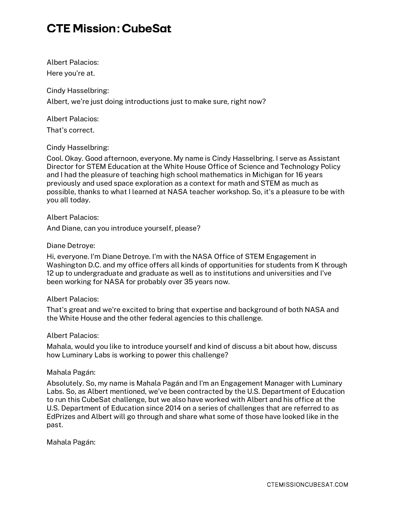Here you're at. Albert Palacios:

 Albert, we're just doing introductions just to make sure, right now? Cindy Hasselbring:

Albert Palacios:

That's correct.

Cindy Hasselbring:

 Cool. Okay. Good afternoon, everyone. My name is Cindy Hasselbring. I serve as Assistant Director for STEM Education at the White House Office of Science and Technology Policy and I had the pleasure of teaching high school mathematics in Michigan for 16 years previously and used space exploration as a context for math and STEM as much as possible, thanks to what I learned at NASA teacher workshop. So, it's a pleasure to be with you all today.

Albert Palacios:

And Diane, can you introduce yourself, please?

#### Diane Detroye:

 Hi, everyone. I'm Diane Detroye. I'm with the NASA Office of STEM Engagement in Washington D.C. and my office offers all kinds of opportunities for students from K through 12 up to undergraduate and graduate as well as to institutions and universities and I've been working for NASA for probably over 35 years now.

#### Albert Palacios:

 That's great and we're excited to bring that expertise and background of both NASA and the White House and the other federal agencies to this challenge.

#### Albert Palacios:

 Mahala, would you like to introduce yourself and kind of discuss a bit about how, discuss how Luminary Labs is working to power this challenge?

#### Mahala Pagán:

 Absolutely. So, my name is Mahala Pagán and I'm an Engagement Manager with Luminary Labs. So, as Albert mentioned, we've been contracted by the U.S. Department of Education to run this CubeSat challenge, but we also have worked with Albert and his office at the U.S. Department of Education since 2014 on a series of challenges that are referred to as EdPrizes and Albert will go through and share what some of those have looked like in the past.

Mahala Pagán: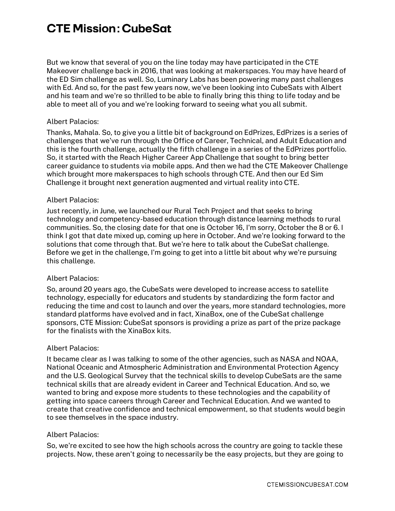But we know that several of you on the line today may have participated in the CTE Makeover challenge back in 2016, that was looking at makerspaces. You may have heard of the ED Sim challenge as well. So, Luminary Labs has been powering many past challenges with Ed. And so, for the past few years now, we've been looking into CubeSats with Albert and his team and we're so thrilled to be able to finally bring this thing to life today and be able to meet all of you and we're looking forward to seeing what you all submit.

#### Albert Palacios:

 Thanks, Mahala. So, to give you a little bit of background on EdPrizes, EdPrizes is a series of challenges that we've run through the Office of Career, Technical, and Adult Education and this is the fourth challenge, actually the fifth challenge in a series of the EdPrizes portfolio. So, it started with the Reach Higher Career App Challenge that sought to bring better career guidance to students via mobile apps. And then we had the CTE Makeover Challenge which brought more makerspaces to high schools through CTE. And then our Ed Sim Challenge it brought next generation augmented and virtual reality into CTE.

#### Albert Palacios:

 Just recently, in June, we launched our Rural Tech Project and that seeks to bring technology and competency-based education through distance learning methods to rural communities. So, the closing date for that one is October 16, I'm sorry, October the 8 or 6. I think I got that date mixed up, coming up here in October. And we're looking forward to the solutions that come through that. But we're here to talk about the CubeSat challenge. Before we get in the challenge, I'm going to get into a little bit about why we're pursuing this challenge.

#### Albert Palacios:

 So, around 20 years ago, the CubeSats were developed to increase access to satellite technology, especially for educators and students by standardizing the form factor and reducing the time and cost to launch and over the years, more standard technologies, more standard platforms have evolved and in fact, XinaBox, one of the CubeSat challenge sponsors, CTE Mission: CubeSat sponsors is providing a prize as part of the prize package for the finalists with the XinaBox kits.

#### Albert Palacios:

 It became clear as I was talking to some of the other agencies, such as NASA and NOAA, National Oceanic and Atmospheric Administration and Environmental Protection Agency and the U.S. Geological Survey that the technical skills to develop CubeSats are the same technical skills that are already evident in Career and Technical Education. And so, we wanted to bring and expose more students to these technologies and the capability of getting into space careers through Career and Technical Education. And we wanted to create that creative confidence and technical empowerment, so that students would begin to see themselves in the space industry.

#### Albert Palacios:

 So, we're excited to see how the high schools across the country are going to tackle these projects. Now, these aren't going to necessarily be the easy projects, but they are going to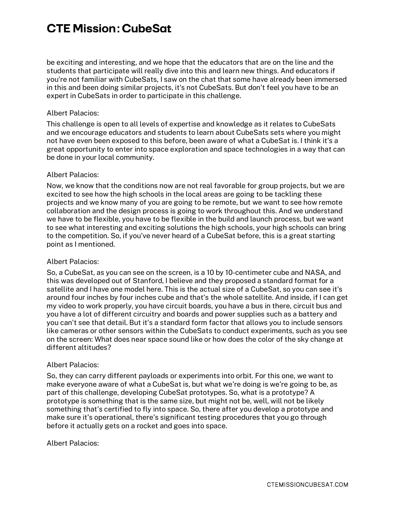be exciting and interesting, and we hope that the educators that are on the line and the students that participate will really dive into this and learn new things. And educators if you're not familiar with CubeSats, I saw on the chat that some have already been immersed in this and been doing similar projects, it's not CubeSats. But don't feel you have to be an expert in CubeSats in order to participate in this challenge.

# Albert Palacios:

 This challenge is open to all levels of expertise and knowledge as it relates to CubeSats and we encourage educators and students to learn about CubeSats sets where you might not have even been exposed to this before, been aware of what a CubeSat is. I think it's a great opportunity to enter into space exploration and space technologies in a way that can be done in your local community.

#### Albert Palacios:

 Now, we know that the conditions now are not real favorable for group projects, but we are excited to see how the high schools in the local areas are going to be tackling these projects and we know many of you are going to be remote, but we want to see how remote collaboration and the design process is going to work throughout this. And we understand we have to be flexible, you have to be flexible in the build and launch process, but we want to see what interesting and exciting solutions the high schools, your high schools can bring to the competition. So, if you've never heard of a CubeSat before, this is a great starting point as I mentioned.

# Albert Palacios:

 So, a CubeSat, as you can see on the screen, is a 10 by 10-centimeter cube and NASA, and this was developed out of Stanford, I believe and they proposed a standard format for a satellite and I have one model here. This is the actual size of a CubeSat, so you can see it's around four inches by four inches cube and that's the whole satellite. And inside, if I can get my video to work properly, you have circuit boards, you have a bus in there, circuit bus and you have a lot of different circuitry and boards and power supplies such as a battery and you can't see that detail. But it's a standard form factor that allows you to include sensors like cameras or other sensors within the CubeSats to conduct experiments, such as you see on the screen: What does near space sound like or how does the color of the sky change at different altitudes?

#### Albert Palacios:

 So, they can carry different payloads or experiments into orbit. For this one, we want to make everyone aware of what a CubeSat is, but what we're doing is we're going to be, as part of this challenge, developing CubeSat prototypes. So, what is a prototype? A prototype is something that is the same size, but might not be, well, will not be likely something that's certified to fly into space. So, there after you develop a prototype and make sure it's operational, there's significant testing procedures that you go through before it actually gets on a rocket and goes into space.

#### Albert Palacios: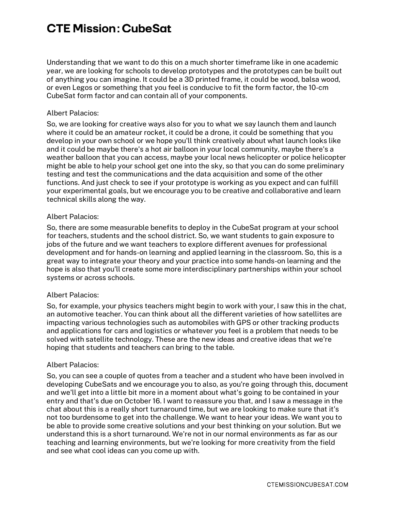Understanding that we want to do this on a much shorter timeframe like in one academic year, we are looking for schools to develop prototypes and the prototypes can be built out of anything you can imagine. It could be a 3D printed frame, it could be wood, balsa wood, or even Legos or something that you feel is conducive to fit the form factor, the 10-cm CubeSat form factor and can contain all of your components.

#### Albert Palacios:

 So, we are looking for creative ways also for you to what we say launch them and launch where it could be an amateur rocket, it could be a drone, it could be something that you develop in your own school or we hope you'll think creatively about what launch looks like and it could be maybe there's a hot air balloon in your local community, maybe there's a weather balloon that you can access, maybe your local news helicopter or police helicopter might be able to help your school get one into the sky, so that you can do some preliminary testing and test the communications and the data acquisition and some of the other functions. And just check to see if your prototype is working as you expect and can fulfill your experimental goals, but we encourage you to be creative and collaborative and learn technical skills along the way.

#### Albert Palacios:

 So, there are some measurable benefits to deploy in the CubeSat program at your school for teachers, students and the school district. So, we want students to gain exposure to jobs of the future and we want teachers to explore different avenues for professional development and for hands-on learning and applied learning in the classroom. So, this is a great way to integrate your theory and your practice into some hands-on learning and the hope is also that you'll create some more interdisciplinary partnerships within your school systems or across schools.

# Albert Palacios:

 So, for example, your physics teachers might begin to work with your, I saw this in the chat, an automotive teacher. You can think about all the different varieties of how satellites are impacting various technologies such as automobiles with GPS or other tracking products and applications for cars and logistics or whatever you feel is a problem that needs to be solved with satellite technology. These are the new ideas and creative ideas that we're hoping that students and teachers can bring to the table.

#### Albert Palacios:

 So, you can see a couple of quotes from a teacher and a student who have been involved in developing CubeSats and we encourage you to also, as you're going through this, document and we'll get into a little bit more in a moment about what's going to be contained in your entry and that's due on October 16. I want to reassure you that, and I saw a message in the chat about this is a really short turnaround time, but we are looking to make sure that it's not too burdensome to get into the challenge. We want to hear your ideas. We want you to be able to provide some creative solutions and your best thinking on your solution. But we understand this is a short turnaround. We're not in our normal environments as far as our teaching and learning environments, but we're looking for more creativity from the field and see what cool ideas can you come up with.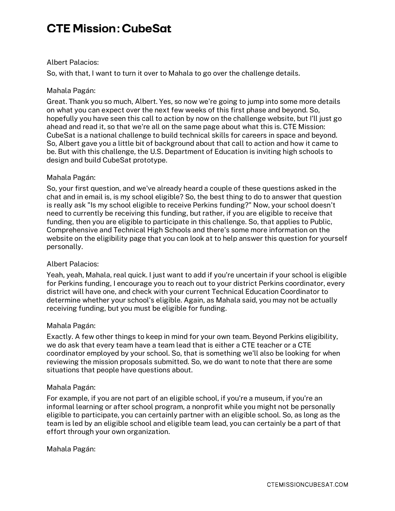#### Albert Palacios:

So, with that, I want to turn it over to Mahala to go over the challenge details.

#### Mahala Pagán:

 Great. Thank you so much, Albert. Yes, so now we're going to jump into some more details on what you can expect over the next few weeks of this first phase and beyond. So, hopefully you have seen this call to action by now on the challenge website, but I'll just go ahead and read it, so that we're all on the same page about what this is. CTE Mission: CubeSat is a national challenge to build technical skills for careers in space and beyond. So, Albert gave you a little bit of background about that call to action and how it came to be. But with this challenge, the U.S. Department of Education is inviting high schools to design and build CubeSat prototype.

# Mahala Pagán:

 So, your first question, and we've already heard a couple of these questions asked in the chat and in email is, is my school eligible? So, the best thing to do to answer that question is really ask "Is my school eligible to receive Perkins funding?" Now, your school doesn't need to currently be receiving this funding, but rather, if you are eligible to receive that funding, then you are eligible to participate in this challenge. So, that applies to Public, Comprehensive and Technical High Schools and there's some more information on the website on the eligibility page that you can look at to help answer this question for yourself personally.

# Albert Palacios:

 Yeah, yeah, Mahala, real quick. I just want to add if you're uncertain if your school is eligible for Perkins funding, I encourage you to reach out to your district Perkins coordinator, every district will have one, and check with your current Technical Education Coordinator to determine whether your school's eligible. Again, as Mahala said, you may not be actually receiving funding, but you must be eligible for funding.

#### Mahala Pagán:

 Exactly. A few other things to keep in mind for your own team. Beyond Perkins eligibility, we do ask that every team have a team lead that is either a CTE teacher or a CTE coordinator employed by your school. So, that is something we'll also be looking for when reviewing the mission proposals submitted. So, we do want to note that there are some situations that people have questions about.

#### Mahala Pagán:

 For example, if you are not part of an eligible school, if you're a museum, if you're an informal learning or after school program, a nonprofit while you might not be personally eligible to participate, you can certainly partner with an eligible school. So, as long as the team is led by an eligible school and eligible team lead, you can certainly be a part of that effort through your own organization.

# Mahala Pagán: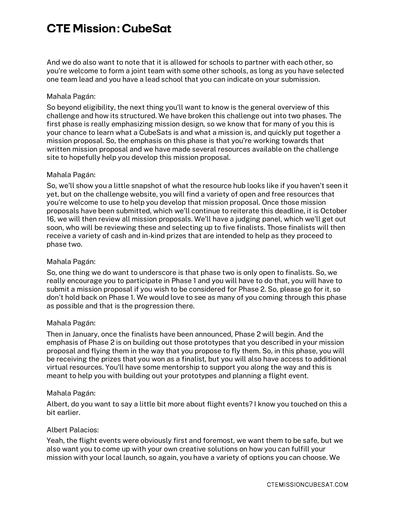And we do also want to note that it is allowed for schools to partner with each other, so you're welcome to form a joint team with some other schools, as long as you have selected one team lead and you have a lead school that you can indicate on your submission.

# Mahala Pagán:

 So beyond eligibility, the next thing you'll want to know is the general overview of this challenge and how its structured. We have broken this challenge out into two phases. The first phase is really emphasizing mission design, so we know that for many of you this is your chance to learn what a CubeSats is and what a mission is, and quickly put together a mission proposal. So, the emphasis on this phase is that you're working towards that written mission proposal and we have made several resources available on the challenge site to hopefully help you develop this mission proposal.

#### Mahala Pagán:

 So, we'll show you a little snapshot of what the resource hub looks like if you haven't seen it yet, but on the challenge website, you will find a variety of open and free resources that you're welcome to use to help you develop that mission proposal. Once those mission proposals have been submitted, which we'll continue to reiterate this deadline, it is October 16, we will then review all mission proposals. We'll have a judging panel, which we'll get out soon, who will be reviewing these and selecting up to five finalists. Those finalists will then receive a variety of cash and in-kind prizes that are intended to help as they proceed to phase two.

# Mahala Pagán:

 So, one thing we do want to underscore is that phase two is only open to finalists. So, we really encourage you to participate in Phase 1 and you will have to do that, you will have to submit a mission proposal if you wish to be considered for Phase 2. So, please go for it, so don't hold back on Phase 1. We would love to see as many of you coming through this phase as possible and that is the progression there.

# Mahala Pagán:

 Then in January, once the finalists have been announced, Phase 2 will begin. And the emphasis of Phase 2 is on building out those prototypes that you described in your mission proposal and flying them in the way that you propose to fly them. So, in this phase, you will be receiving the prizes that you won as a finalist, but you will also have access to additional virtual resources. You'll have some mentorship to support you along the way and this is meant to help you with building out your prototypes and planning a flight event.

#### Mahala Pagán:

 Albert, do you want to say a little bit more about flight events? I know you touched on this a bit earlier.

#### Albert Palacios:

 Yeah, the flight events were obviously first and foremost, we want them to be safe, but we also want you to come up with your own creative solutions on how you can fulfill your mission with your local launch, so again, you have a variety of options you can choose. We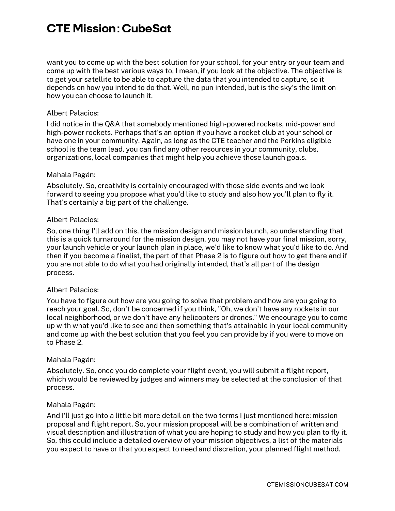want you to come up with the best solution for your school, for your entry or your team and come up with the best various ways to, I mean, if you look at the objective. The objective is to get your satellite to be able to capture the data that you intended to capture, so it depends on how you intend to do that. Well, no pun intended, but is the sky's the limit on how you can choose to launch it.

#### Albert Palacios:

 I did notice in the Q&A that somebody mentioned high-powered rockets, mid-power and high-power rockets. Perhaps that's an option if you have a rocket club at your school or have one in your community. Again, as long as the CTE teacher and the Perkins eligible school is the team lead, you can find any other resources in your community, clubs, organizations, local companies that might help you achieve those launch goals.

#### Mahala Pagán:

 Absolutely. So, creativity is certainly encouraged with those side events and we look forward to seeing you propose what you'd like to study and also how you'll plan to fly it. That's certainly a big part of the challenge.

#### Albert Palacios:

 So, one thing I'll add on this, the mission design and mission launch, so understanding that this is a quick turnaround for the mission design, you may not have your final mission, sorry, your launch vehicle or your launch plan in place, we'd like to know what you'd like to do. And then if you become a finalist, the part of that Phase 2 is to figure out how to get there and if you are not able to do what you had originally intended, that's all part of the design process.

#### Albert Palacios:

 You have to figure out how are you going to solve that problem and how are you going to reach your goal. So, don't be concerned if you think, "Oh, we don't have any rockets in our local neighborhood, or we don't have any helicopters or drones." We encourage you to come up with what you'd like to see and then something that's attainable in your local community and come up with the best solution that you feel you can provide by if you were to move on to Phase 2.

# Mahala Pagán:

 Absolutely. So, once you do complete your flight event, you will submit a flight report, which would be reviewed by judges and winners may be selected at the conclusion of that process.

#### Mahala Pagán:

 And I'll just go into a little bit more detail on the two terms I just mentioned here: mission proposal and flight report. So, your mission proposal will be a combination of written and visual description and illustration of what you are hoping to study and how you plan to fly it. So, this could include a detailed overview of your mission objectives, a list of the materials you expect to have or that you expect to need and discretion, your planned flight method.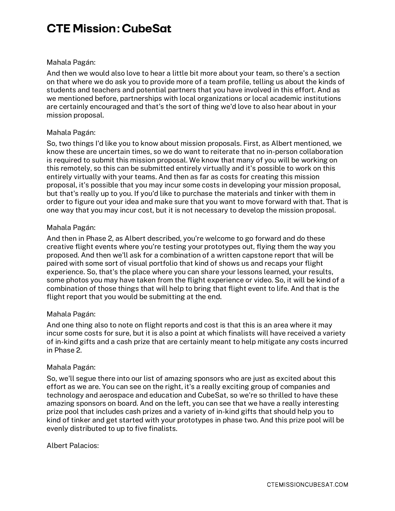#### Mahala Pagán:

 And then we would also love to hear a little bit more about your team, so there's a section on that where we do ask you to provide more of a team profile, telling us about the kinds of students and teachers and potential partners that you have involved in this effort. And as we mentioned before, partnerships with local organizations or local academic institutions are certainly encouraged and that's the sort of thing we'd love to also hear about in your mission proposal.

# Mahala Pagán:

 So, two things I'd like you to know about mission proposals. First, as Albert mentioned, we know these are uncertain times, so we do want to reiterate that no in-person collaboration is required to submit this mission proposal. We know that many of you will be working on this remotely, so this can be submitted entirely virtually and it's possible to work on this entirely virtually with your teams. And then as far as costs for creating this mission proposal, it's possible that you may incur some costs in developing your mission proposal, but that's really up to you. If you'd like to purchase the materials and tinker with them in order to figure out your idea and make sure that you want to move forward with that. That is one way that you may incur cost, but it is not necessary to develop the mission proposal.

# Mahala Pagán:

 And then in Phase 2, as Albert described, you're welcome to go forward and do these creative flight events where you're testing your prototypes out, flying them the way you proposed. And then we'll ask for a combination of a written capstone report that will be paired with some sort of visual portfolio that kind of shows us and recaps your flight experience. So, that's the place where you can share your lessons learned, your results, some photos you may have taken from the flight experience or video. So, it will be kind of a combination of those things that will help to bring that flight event to life. And that is the flight report that you would be submitting at the end.

#### Mahala Pagán:

 And one thing also to note on flight reports and cost is that this is an area where it may incur some costs for sure, but it is also a point at which finalists will have received a variety of in-kind gifts and a cash prize that are certainly meant to help mitigate any costs incurred in Phase 2.

#### Mahala Pagán:

 So, we'll segue there into our list of amazing sponsors who are just as excited about this effort as we are. You can see on the right, it's a really exciting group of companies and technology and aerospace and education and CubeSat, so we're so thrilled to have these amazing sponsors on board. And on the left, you can see that we have a really interesting prize pool that includes cash prizes and a variety of in-kind gifts that should help you to kind of tinker and get started with your prototypes in phase two. And this prize pool will be evenly distributed to up to five finalists.

#### Albert Palacios: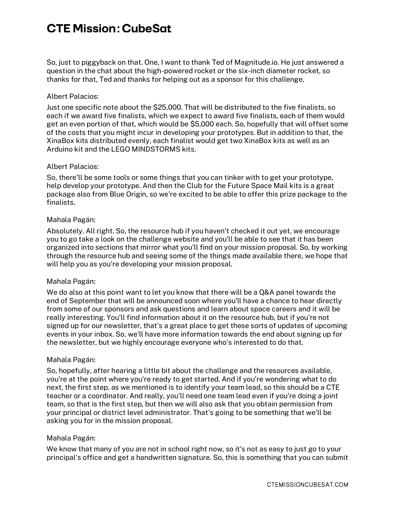So, just to piggyback on that. One, I want to thank Ted of Magnitude.io. He just answered a question in the chat about the high-powered rocket or the six-inch diameter rocket, so thanks for that, Ted and thanks for helping out as a sponsor for this challenge.

#### Albert Palacios:

 Just one specific note about the \$25,000. That will be distributed to the five finalists, so each if we award five finalists, which we expect to award five finalists, each of them would get an even portion of that, which would be \$5,000 each. So, hopefully that will offset some of the costs that you might incur in developing your prototypes. But in addition to that, the XinaBox kits distributed evenly, each finalist would get two XinaBox kits as well as an Arduino kit and the LEGO MINDSTORMS kits.

#### Albert Palacios:

 So, there'll be some tools or some things that you can tinker with to get your prototype, help develop your prototype. And then the Club for the Future Space Mail kits is a great package also from Blue Origin, so we're excited to be able to offer this prize package to the finalists.

# Mahala Pagán:

 Absolutely. All right. So, the resource hub if you haven't checked it out yet, we encourage you to go take a look on the challenge website and you'll be able to see that it has been organized into sections that mirror what you'll find on your mission proposal. So, by working through the resource hub and seeing some of the things made available there, we hope that will help you as you're developing your mission proposal.

#### Mahala Pagán:

 We do also at this point want to let you know that there will be a Q&A panel towards the end of September that will be announced soon where you'll have a chance to hear directly from some of our sponsors and ask questions and learn about space careers and it will be really interesting. You'll find information about it on the resource hub, but if you're not signed up for our newsletter, that's a great place to get these sorts of updates of upcoming events in your inbox. So, we'll have more information towards the end about signing up for the newsletter, but we highly encourage everyone who's interested to do that.

# Mahala Pagán:

 So, hopefully, after hearing a little bit about the challenge and the resources available, you're at the point where you're ready to get started. And if you're wondering what to do next, the first step, as we mentioned is to identify your team lead, so this should be a CTE teacher or a coordinator. And really, you'll need one team lead even if you're doing a joint team, so that is the first step, but then we will also ask that you obtain permission from your principal or district level administrator. That's going to be something that we'll be asking you for in the mission proposal.

# Mahala Pagán:

 We know that many of you are not in school right now, so it's not as easy to just go to your principal's office and get a handwritten signature. So, this is something that you can submit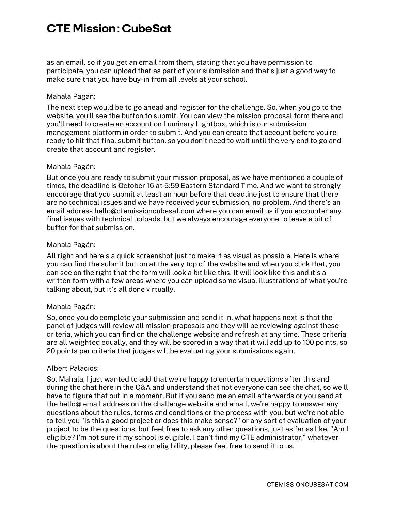as an email, so if you get an email from them, stating that you have permission to participate, you can upload that as part of your submission and that's just a good way to make sure that you have buy-in from all levels at your school.

#### Mahala Pagán:

 The next step would be to go ahead and register for the challenge. So, when you go to the website, you'll see the button to submit. You can view the mission proposal form there and you'll need to create an account on Luminary Lightbox, which is our submission management platform in order to submit. And you can create that account before you're ready to hit that final submit button, so you don't need to wait until the very end to go and create that account and register.

#### Mahala Pagán:

 But once you are ready to submit your mission proposal, as we have mentioned a couple of times, the deadline is October 16 at 5:59 Eastern Standard Time. And we want to strongly encourage that you submit at least an hour before that deadline just to ensure that there are no technical issues and we have received your submission, no problem. And there's an email address [hello@ctemissioncubesat.com](mailto:hello@ctemissioncubesat.com) where you can email us if you encounter any final issues with technical uploads, but we always encourage everyone to leave a bit of buffer for that submission.

#### Mahala Pagán:

 All right and here's a quick screenshot just to make it as visual as possible. Here is where you can find the submit button at the very top of the website and when you click that, you can see on the right that the form will look a bit like this. It will look like this and it's a written form with a few areas where you can upload some visual illustrations of what you're talking about, but it's all done virtually.

# Mahala Pagán:

 So, once you do complete your submission and send it in, what happens next is that the panel of judges will review all mission proposals and they will be reviewing against these criteria, which you can find on the challenge website and refresh at any time. These criteria are all weighted equally, and they will be scored in a way that it will add up to 100 points, so 20 points per criteria that judges will be evaluating your submissions again.

#### Albert Palacios:

 So, Mahala, I just wanted to add that we're happy to entertain questions after this and during the chat here in the Q&A and understand that not everyone can see the chat, so we'll have to figure that out in a moment. But if you send me an email afterwards or you send at the hello@ email address on the challenge website and email, we're happy to answer any questions about the rules, terms and conditions or the process with you, but we're not able to tell you "Is this a good project or does this make sense?" or any sort of evaluation of your project to be the questions, but feel free to ask any other questions, just as far as like, "Am I eligible? I'm not sure if my school is eligible, I can't find my CTE administrator," whatever the question is about the rules or eligibility, please feel free to send it to us.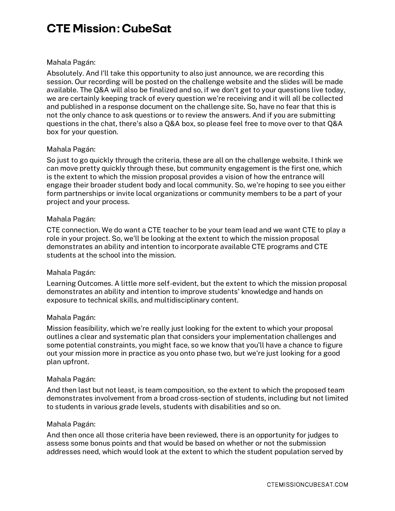#### Mahala Pagán:

 Absolutely. And I'll take this opportunity to also just announce, we are recording this session. Our recording will be posted on the challenge website and the slides will be made available. The Q&A will also be finalized and so, if we don't get to your questions live today, we are certainly keeping track of every question we're receiving and it will all be collected and published in a response document on the challenge site. So, have no fear that this is not the only chance to ask questions or to review the answers. And if you are submitting questions in the chat, there's also a Q&A box, so please feel free to move over to that Q&A box for your question.

#### Mahala Pagán:

 So just to go quickly through the criteria, these are all on the challenge website. I think we can move pretty quickly through these, but community engagement is the first one, which is the extent to which the mission proposal provides a vision of how the entrance will engage their broader student body and local community. So, we're hoping to see you either form partnerships or invite local organizations or community members to be a part of your project and your process.

#### Mahala Pagán:

 CTE connection. We do want a CTE teacher to be your team lead and we want CTE to play a role in your project. So, we'll be looking at the extent to which the mission proposal demonstrates an ability and intention to incorporate available CTE programs and CTE students at the school into the mission.

# Mahala Pagán:

 Learning Outcomes. A little more self-evident, but the extent to which the mission proposal demonstrates an ability and intention to improve students' knowledge and hands on exposure to technical skills, and multidisciplinary content.

#### Mahala Pagán:

 Mission feasibility, which we're really just looking for the extent to which your proposal outlines a clear and systematic plan that considers your implementation challenges and some potential constraints, you might face, so we know that you'll have a chance to figure out your mission more in practice as you onto phase two, but we're just looking for a good plan upfront.

#### Mahala Pagán:

 And then last but not least, is team composition, so the extent to which the proposed team demonstrates involvement from a broad cross-section of students, including but not limited to students in various grade levels, students with disabilities and so on.

#### Mahala Pagán:

 And then once all those criteria have been reviewed, there is an opportunity for judges to assess some bonus points and that would be based on whether or not the submission addresses need, which would look at the extent to which the student population served by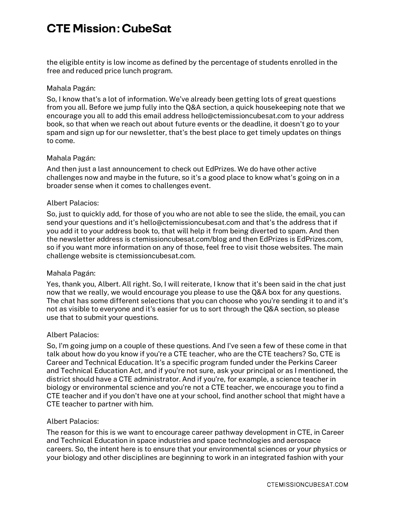the eligible entity is low income as defined by the percentage of students enrolled in the free and reduced price lunch program.

#### Mahala Pagán:

 So, I know that's a lot of information. We've already been getting lots of great questions from you all. Before we jump fully into the Q&A section, a quick housekeeping note that we encourage you all to add this email address [hello@ctemissioncubesat.com](mailto:hello@ctemissioncubesat.com) to your address book, so that when we reach out about future events or the deadline, it doesn't go to your spam and sign up for our newsletter, that's the best place to get timely updates on things to come.

#### Mahala Pagán:

 And then just a last announcement to check out EdPrizes. We do have other active challenges now and maybe in the future, so it's a good place to know what's going on in a broader sense when it comes to challenges event.

#### Albert Palacios:

 So, just to quickly add, for those of you who are not able to see the slide, the email, you can send your questions and it's [hello@ctemissioncubesat.com](mailto:hello@ctemissioncubesat.com) and that's the address that if you add it to your address book to, that will help it from being diverted to spam. And then the newsletter address is [ctemissioncubesat.com/blog](https://www.ctemissioncubesat.com/BLOG/) and then EdPrizes is [EdPrizes.com](https://www.EdPrizes.com), so if you want more information on any of those, feel free to visit those websites. The main challenge website is [ctemissioncubesat.com.](https://www.ctemissioncubesat.com)

# Mahala Pagán:

 Yes, thank you, Albert. All right. So, I will reiterate, I know that it's been said in the chat just now that we really, we would encourage you please to use the Q&A box for any questions. The chat has some different selections that you can choose who you're sending it to and it's not as visible to everyone and it's easier for us to sort through the Q&A section, so please use that to submit your questions.

#### Albert Palacios:

 So, I'm going jump on a couple of these questions. And I've seen a few of these come in that talk about how do you know if you're a CTE teacher, who are the CTE teachers? So, CTE is Career and Technical Education. It's a specific program funded under the Perkins Career and Technical Education Act, and if you're not sure, ask your principal or as I mentioned, the district should have a CTE administrator. And if you're, for example, a science teacher in biology or environmental science and you're not a CTE teacher, we encourage you to find a CTE teacher and if you don't have one at your school, find another school that might have a CTE teacher to partner with him.

#### Albert Palacios:

 The reason for this is we want to encourage career pathway development in CTE, in Career and Technical Education in space industries and space technologies and aerospace careers. So, the intent here is to ensure that your environmental sciences or your physics or your biology and other disciplines are beginning to work in an integrated fashion with your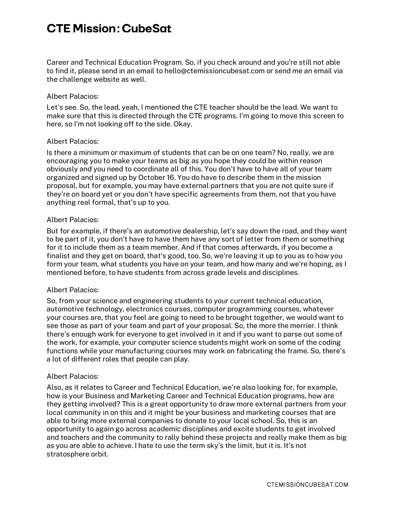Career and Technical Education Program. So, if you check around and you're still not able to find it, please send in an email to [hello@ctemissioncubesat.com](mailto:hello@ctemissioncubesat.com) or send me an email via the challenge website as well.

#### Albert Palacios:

 Let's see. So, the lead, yeah, I mentioned the CTE teacher should be the lead. We want to make sure that this is directed through the CTE programs. I'm going to move this screen to here, so I'm not looking off to the side. Okay.

#### Albert Palacios:

 Is there a minimum or maximum of students that can be on one team? No, really, we are encouraging you to make your teams as big as you hope they could be within reason obviously and you need to coordinate all of this. You don't have to have all of your team organized and signed up by October 16. You do have to describe them in the mission proposal, but for example, you may have external partners that you are not quite sure if they're on board yet or you don't have specific agreements from them, not that you have anything real formal, that's up to you.

#### Albert Palacios:

 But for example, if there's an automotive dealership, let's say down the road, and they want to be part of it, you don't have to have them have any sort of letter from them or something for it to include them as a team member. And if that comes afterwards, if you become a finalist and they get on board, that's good, too. So, we're leaving it up to you as to how you form your team, what students you have on your team, and how many and we're hoping, as I mentioned before, to have students from across grade levels and disciplines.

# Albert Palacios:

 So, from your science and engineering students to your current technical education, automotive technology, electronics courses, computer programming courses, whatever your courses are, that you feel are going to need to be brought together, we would want to see those as part of your team and part of your proposal. So, the more the merrier. I think there's enough work for everyone to get involved in it and if you want to parse out some of the work, for example, your computer science students might work on some of the coding functions while your manufacturing courses may work on fabricating the frame. So, there's a lot of different roles that people can play.

#### Albert Palacios:

 Also, as it relates to Career and Technical Education, we're also looking for, for example, how is your Business and Marketing Career and Technical Education programs, how are they getting involved? This is a great opportunity to draw more external partners from your local community in on this and it might be your business and marketing courses that are able to bring more external companies to donate to your local school. So, this is an opportunity to again go across academic disciplines and excite students to get involved and teachers and the community to rally behind these projects and really make them as big as you are able to achieve. I hate to use the term sky's the limit, but it is. It's not stratosphere orbit.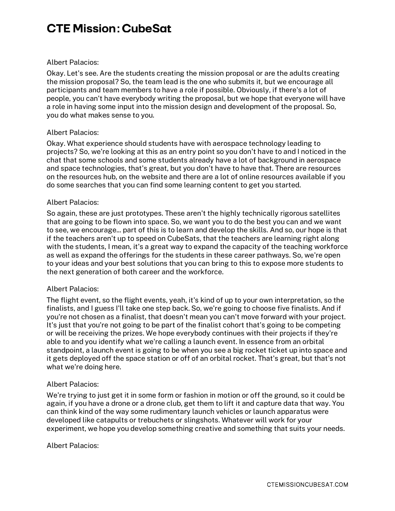#### Albert Palacios:

 Okay. Let's see. Are the students creating the mission proposal or are the adults creating the mission proposal? So, the team lead is the one who submits it, but we encourage all participants and team members to have a role if possible. Obviously, if there's a lot of people, you can't have everybody writing the proposal, but we hope that everyone will have a role in having some input into the mission design and development of the proposal. So, you do what makes sense to you.

# Albert Palacios:

 Okay. What experience should students have with aerospace technology leading to projects? So, we're looking at this as an entry point so you don't have to and I noticed in the chat that some schools and some students already have a lot of background in aerospace and space technologies, that's great, but you don't have to have that. There are resources on the resources hub, on the website and there are a lot of online resources available if you do some searches that you can find some learning content to get you started.

#### Albert Palacios:

 So again, these are just prototypes. These aren't the highly technically rigorous satellites that are going to be flown into space. So, we want you to do the best you can and we want to see, we encourage... part of this is to learn and develop the skills. And so, our hope is that if the teachers aren't up to speed on CubeSats, that the teachers are learning right along with the students, I mean, it's a great way to expand the capacity of the teaching workforce as well as expand the offerings for the students in these career pathways. So, we're open to your ideas and your best solutions that you can bring to this to expose more students to the next generation of both career and the workforce.

# Albert Palacios:

 The flight event, so the flight events, yeah, it's kind of up to your own interpretation, so the finalists, and I guess I'll take one step back. So, we're going to choose five finalists. And if you're not chosen as a finalist, that doesn't mean you can't move forward with your project. It's just that you're not going to be part of the finalist cohort that's going to be competing or will be receiving the prizes. We hope everybody continues with their projects if they're able to and you identify what we're calling a launch event. In essence from an orbital standpoint, a launch event is going to be when you see a big rocket ticket up into space and it gets deployed off the space station or off of an orbital rocket. That's great, but that's not what we're doing here.

#### Albert Palacios:

 We're trying to just get it in some form or fashion in motion or off the ground, so it could be again, if you have a drone or a drone club, get them to lift it and capture data that way. You can think kind of the way some rudimentary launch vehicles or launch apparatus were developed like catapults or trebuchets or slingshots. Whatever will work for your experiment, we hope you develop something creative and something that suits your needs.

#### Albert Palacios: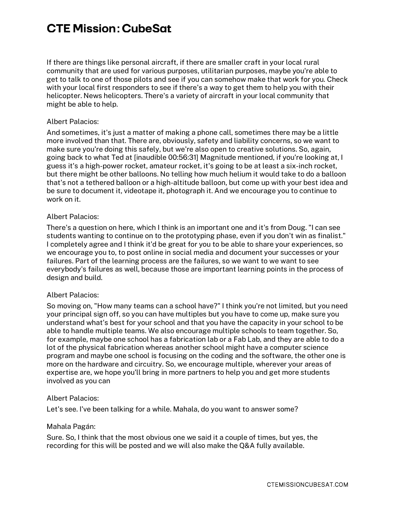If there are things like personal aircraft, if there are smaller craft in your local rural community that are used for various purposes, utilitarian purposes, maybe you're able to get to talk to one of those pilots and see if you can somehow make that work for you. Check with your local first responders to see if there's a way to get them to help you with their helicopter. News helicopters. There's a variety of aircraft in your local community that might be able to help.

#### Albert Palacios:

 And sometimes, it's just a matter of making a phone call, sometimes there may be a little more involved than that. There are, obviously, safety and liability concerns, so we want to make sure you're doing this safely, but we're also open to creative solutions. So, again, going back to what Ted at [inaudible 00:56:31] Magnitude mentioned, if you're looking at, I guess it's a high-power rocket, amateur rocket, it's going to be at least a six-inch rocket, but there might be other balloons. No telling how much helium it would take to do a balloon that's not a tethered balloon or a high-altitude balloon, but come up with your best idea and be sure to document it, videotape it, photograph it. And we encourage you to continue to work on it.

#### Albert Palacios:

 There's a question on here, which I think is an important one and it's from Doug. "I can see students wanting to continue on to the prototyping phase, even if you don't win as finalist." I completely agree and I think it'd be great for you to be able to share your experiences, so we encourage you to, to post online in social media and document your successes or your failures. Part of the learning process are the failures, so we want to we want to see everybody's failures as well, because those are important learning points in the process of design and build.

# Albert Palacios:

 So moving on, "How many teams can a school have?" I think you're not limited, but you need your principal sign off, so you can have multiples but you have to come up, make sure you understand what's best for your school and that you have the capacity in your school to be able to handle multiple teams. We also encourage multiple schools to team together. So, for example, maybe one school has a fabrication lab or a Fab Lab, and they are able to do a lot of the physical fabrication whereas another school might have a computer science program and maybe one school is focusing on the coding and the software, the other one is more on the hardware and circuitry. So, we encourage multiple, wherever your areas of expertise are, we hope you'll bring in more partners to help you and get more students involved as you can

#### Albert Palacios:

Let's see. I've been talking for a while. Mahala, do you want to answer some?

#### Mahala Pagán:

 Sure. So, I think that the most obvious one we said it a couple of times, but yes, the recording for this will be posted and we will also make the Q&A fully available.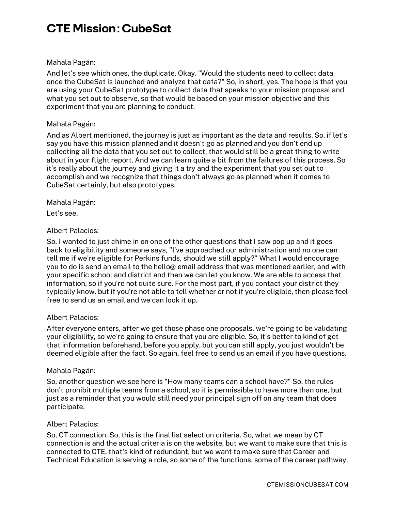# Mahala Pagán:

 And let's see which ones, the duplicate. Okay. "Would the students need to collect data once the CubeSat is launched and analyze that data?" So, in short, yes. The hope is that you are using your CubeSat prototype to collect data that speaks to your mission proposal and what you set out to observe, so that would be based on your mission objective and this experiment that you are planning to conduct.

# Mahala Pagán:

 And as Albert mentioned, the journey is just as important as the data and results. So, if let's say you have this mission planned and it doesn't go as planned and you don't end up collecting all the data that you set out to collect, that would still be a great thing to write about in your flight report. And we can learn quite a bit from the failures of this process. So it's really about the journey and giving it a try and the experiment that you set out to accomplish and we recognize that things don't always go as planned when it comes to CubeSat certainly, but also prototypes.

# Mahala Pagán:

Let's see.

# Albert Palacios:

 So, I wanted to just chime in on one of the other questions that I saw pop up and it goes back to eligibility and someone says, "I've approached our administration and no one can tell me if we're eligible for Perkins funds, should we still apply?" What I would encourage you to do is send an email to the hello@ email address that was mentioned earlier, and with your specific school and district and then we can let you know. We are able to access that information, so if you're not quite sure. For the most part, if you contact your district they typically know, but if you're not able to tell whether or not if you're eligible, then please feel free to send us an email and we can look it up.

# Albert Palacios:

 After everyone enters, after we get those phase one proposals, we're going to be validating your eligibility, so we're going to ensure that you are eligible. So, it's better to kind of get that information beforehand, before you apply, but you can still apply, you just wouldn't be deemed eligible after the fact. So again, feel free to send us an email if you have questions.

# Mahala Pagán:

 So, another question we see here is "How many teams can a school have?" So, the rules don't prohibit multiple teams from a school, so it is permissible to have more than one, but just as a reminder that you would still need your principal sign off on any team that does participate.

# Albert Palacios:

 So, CT connection. So, this is the final list selection criteria. So, what we mean by CT connection is and the actual criteria is on the website, but we want to make sure that this is connected to CTE, that's kind of redundant, but we want to make sure that Career and Technical Education is serving a role, so some of the functions, some of the career pathway,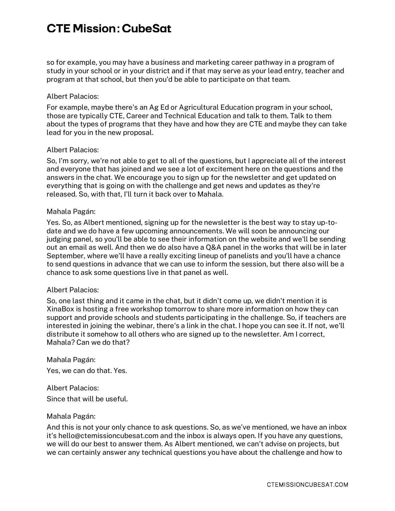so for example, you may have a business and marketing career pathway in a program of study in your school or in your district and if that may serve as your lead entry, teacher and program at that school, but then you'd be able to participate on that team.

#### Albert Palacios:

 For example, maybe there's an Ag Ed or Agricultural Education program in your school, those are typically CTE, Career and Technical Education and talk to them. Talk to them about the types of programs that they have and how they are CTE and maybe they can take lead for you in the new proposal.

#### Albert Palacios:

 So, I'm sorry, we're not able to get to all of the questions, but I appreciate all of the interest and everyone that has joined and we see a lot of excitement here on the questions and the answers in the chat. We encourage you to sign up for the newsletter and get updated on everything that is going on with the challenge and get news and updates as they're released. So, with that, I'll turn it back over to Mahala.

#### Mahala Pagán:

 Yes. So, as Albert mentioned, signing up for the newsletter is the best way to stay up-to- date and we do have a few upcoming announcements. We will soon be announcing our judging panel, so you'll be able to see their information on the website and we'll be sending out an email as well. And then we do also have a Q&A panel in the works that will be in later September, where we'll have a really exciting lineup of panelists and you'll have a chance to send questions in advance that we can use to inform the session, but there also will be a chance to ask some questions live in that panel as well.

#### Albert Palacios:

 So, one last thing and it came in the chat, but it didn't come up, we didn't mention it is XinaBox is hosting a free workshop tomorrow to share more information on how they can support and provide schools and students participating in the challenge. So, if teachers are interested in joining the webinar, there's a link in the chat. I hope you can see it. If not, we'll distribute it somehow to all others who are signed up to the newsletter. Am I correct, Mahala? Can we do that?

 Yes, we can do that. Yes. Mahala Pagán:

 Since that will be useful. Albert Palacios:

# Mahala Pagán:

 And this is not your only chance to ask questions. So, as we've mentioned, we have an inbox it's [hello@ctemissioncubesat.com](mailto:hello@ctemissioncubesat.com) and the inbox is always open. If you have any questions, we will do our best to answer them. As Albert mentioned, we can't advise on projects, but we can certainly answer any technical questions you have about the challenge and how to